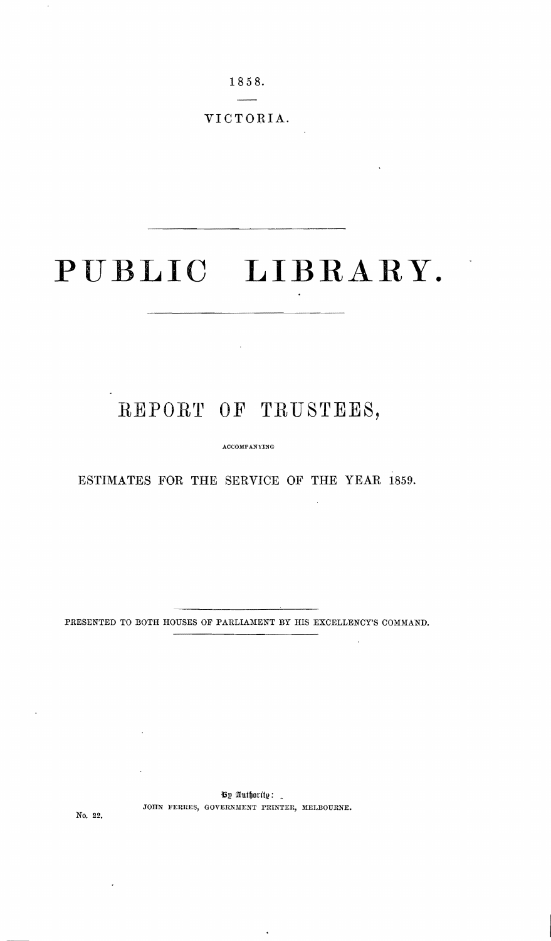1858.

VICTORIA.

# PUBLIC LIBRARY.

REPORT OF TRUSTEES,

ACCOMPANYING

ESTIMATES FOR THE SERVICE OF THE YEAR 1859.

PRESENTED TO BOTH HOUSES OF PARLIAMENT BY HIS EXCELLENCY'S COMMAND.

By Authority: JOHN FERRES, GOVERNMENT PRINTER, MELBOURNE.

 $\ddot{\phantom{1}}$ 

No. 22.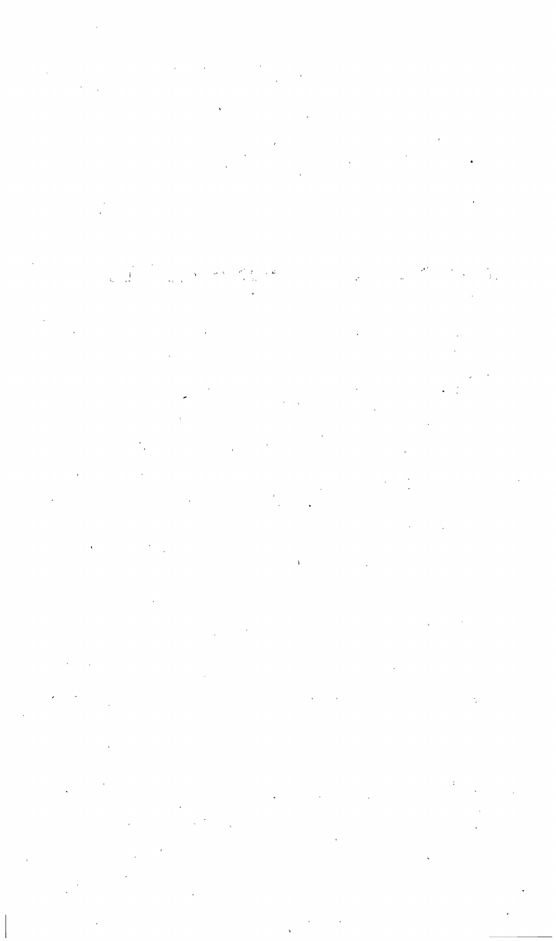$\label{eq:2.1} \frac{1}{\sqrt{2\pi}}\int_{0}^{\pi} \frac{dx}{\sqrt{2\pi}}\,dx\leq \frac{1}{\sqrt{2\pi}}\int_{0}^{\pi}\frac{dx}{\sqrt{2\pi}}\,dx$ 

 $\label{eq:2.1} \frac{1}{\sqrt{2}}\sum_{i=1}^n\frac{1}{\sqrt{2}}\sum_{i=1}^n\frac{1}{\sqrt{2}}\sum_{i=1}^n\frac{1}{\sqrt{2}}\sum_{i=1}^n\frac{1}{\sqrt{2}}\sum_{i=1}^n\frac{1}{\sqrt{2}}\sum_{i=1}^n\frac{1}{\sqrt{2}}\sum_{i=1}^n\frac{1}{\sqrt{2}}\sum_{i=1}^n\frac{1}{\sqrt{2}}\sum_{i=1}^n\frac{1}{\sqrt{2}}\sum_{i=1}^n\frac{1}{\sqrt{2}}\sum_{i=1}^n\frac$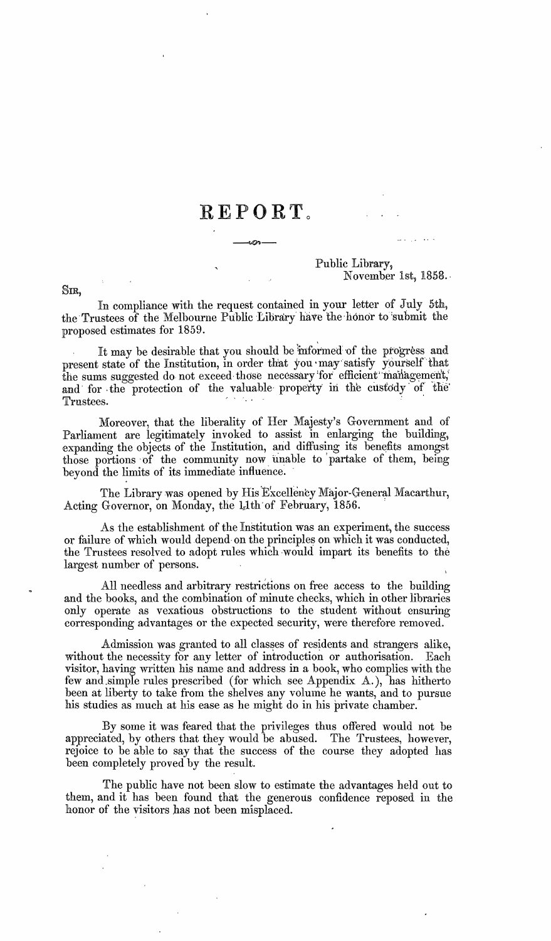# REPORT.

## Public Library, November 1st, 1858.·

In compliance with the request contained in your letter of July 5th, the Trustees of the Melbourne Public Library have the honor to submit the proposed estimates for 1859.

It may be desirable that you should be informed of the progress and present state of the Institution, in order that you may satisfy yourself that the sums suggested do not exceed those necessary for efficient 'management,' and for the protection of the valuable property in the custody of the Trustees. ' -

Moreover, that the liberality of Her Majesty's Government and of Parliament are legitimately invoked to assist in enlarging the building, expanding the objects of the Institution, and diffusing its benefits amongst those portions of the community now unable to partake of them, being beyond the limits of its immediate influence.

The Library was opened by His Excellency Major-General Macarthur, Acting Governor, on Monday, the L1th of February, 1856.

As the establishment of the Institution was an experiment, the success or failure of which would depend on the principles on which it was conducted, the Trustees resolved to adopt rules which would impart its benefits to the largest number of persons.

All needless and arbitrary restrictions on free access to the building and the books, and the combination of minute checks, which in other libraries only operate as vexatious obstructions to the student without ensuring corresponding advantages or the expected security, were therefore removed.

Admission was granted to all classes of residents and strangers alike, without the necessity for any letter of introduction or authorisation. Each visitor, having written his name and address in a book, who complies with the few and .simple rules prescribed (for which see Appendix A.), has hitherto been at liberty to take from the shelves any volume he wants, and to pursue his studies as much at his ease as he might do in his private chamber.

By some it was feared that the privileges thus offered would not be appreciated, by others that they would be abused. The Trustees, however, rejoice to be able to say that the success of the course they adopted has been completely proved by the result.

The public have not been slow to estimate the advantages held out to them, and it has been found that the generous confidence reposed in the honor of the visitors has not been misplaced.

8m,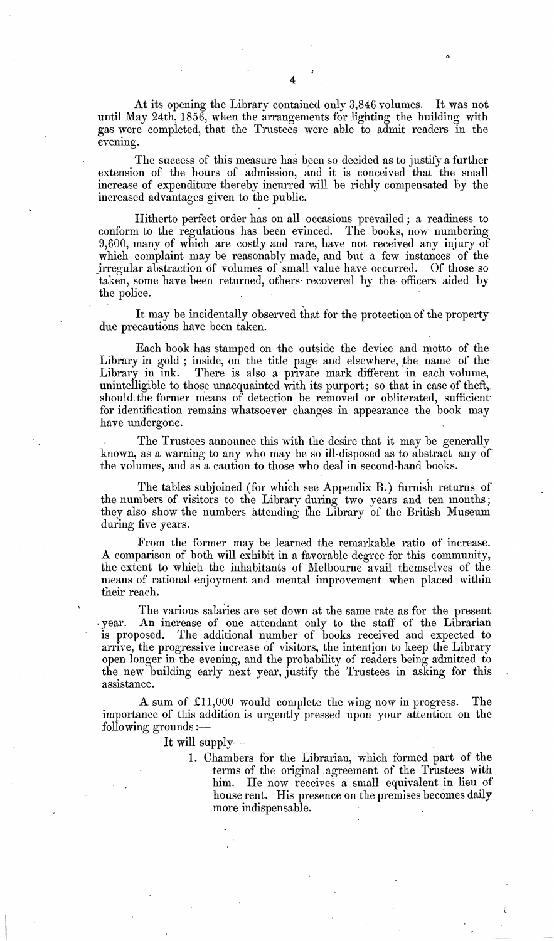At its opening the Library contained only 3,846 volumes. It was not until May 24th, 1856, when the arrangements for lighting the building with gas were completed, that the Trustees were able to admit readers in the evening.

The success of this measure has been so decided as to justify a further extension of the hours of admission, and it is conceived that the small increase of expenditure thereby incurred will be richly compensated by the increased advantages given to the public.

Hitherto perfect order has on all occasions prevailed; a readiness to conform to the regulations has been evinced. The books, now numbering 9,600, many of which are costly and rare, have not received any injury of which complaint may be reasonably made, and but a few instances of the irregular abstraction of volumes of small value have occurred. Of those so taken, some have been returned, others- recovered by the· officers aided by the police.

It may be incidentally observed that for the protection of the property due precautions have been taken.

Each book has stamped on the outside the device and motto of the Library in gold; inside, on the title page and elsewhere, the name of the Library in ink. There is also a private mark different in each volume, There is also a private mark different in each volume, unintelligible to those unacquainted with its purport; so that in case of theft, should the former means of detection be removed or obliterated, sufficientfor identification remains whatsoever changes in appearance the book may have undergone.

The Trustees announce this with the desire that it may be generally known, as a warning to any who may be so ill-disposed as to abstract anyof' the volumes, and as a caution to those who deal in second-hand books.

The tables subjoined (for which see Appendix B.) furnish returns of the numbers of visitors to the Library during two years and ten months; they also show the nunlbers attending the Library of the British Museum during five years.

From the former may be learned the remarkable ratio of increase. A comparison of both will exhibit in a favorable degree for this community,. the extent to which the inhabitants of Melbourne avail themselves of the means of rational enjoyment and mental improvement when placed within their reach.

The various salaries are set down at the same rate as for the present . year. An increase of one attendant only to the staff of the Librarian is proposed. The additional number of books received and expected to The additional number of books received and expected to arrive, the progressive increase of visitors, the intention to keep the Library open longer in- the evening, and the probability of readers being admitted to the new building early next year, justify the Trustees in asking for this assistance.

A sum of  $\pounds$ 11,000 would complete the wing now in progress. The importance of this addition is urgently pressed upon your attention on the following grounds :

It will supply-

1. Chambers for the Librarian, which formed part of the terms of the original.agreernent of the Trustees with him. He now receives a small equivalent in lieu of house rent. His presence on the premises becomes daily more indispensable.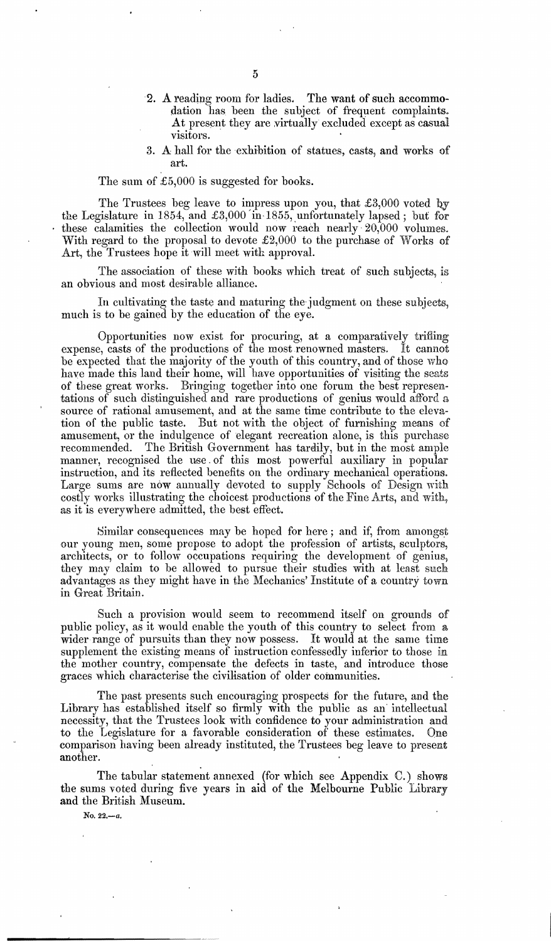- -2. A reading room for ladies. The want of such accommodation has been the subject of frequent complaints. At present they are virtually excluded except as casual visitors.
- 3. A hall for the exhibition of statues, casts, and works of art.

#### The sum of £5,000 is suggested for books.

The Trustees beg leave to impress upon you, that £3,000 voted by the Legislature in 1854, and  $\pounds3,000$  in 1855, unfortunately lapsed; but for these calamities the collection would now reach nearly 20,000 volumes. With regard to the proposal to devote  $£2,000$  to the purchase of Works of Art, the Trustees hope it will meet with approval.

The association of these with books which treat of such subjects, is an obvious and most desirable alliance. .

In cultivating the taste and maturing the judgment on these subjects, much is to be gained by the education of the eye.

Opportunities now exist for procuring, at a comparatively trifling expense, casts of the productions of the most renowned masters. It cannot be expected that the majority of the youth of this country, and of those who have made this land their home, will have opportunities of visiting the seats of these great works. Bringing together into one forum the best representations of such distinguished and rare productions of genius would afford a source of rational amusement, and at the same time contribute to the elevation of the public taste. But not with the object of furnishing means of amusement, or the indulgence of elegant recreation alone, is this purchase recommended. The British Government has tardily, but in the most ample manner, recognised the use. of this most powerful auxiliary in popular instruction, and its reflected benefits on the ordinary mechanical operations. Large sums are now annually devoted to supply Schools of Design with costly works illustrating the choicest productions of the Fine Arts, and with, as it is everywhere admitted, the best effect.

Similar consequences may be hoped for here; and if, from amongst our young men, some propose to adopt the profession of artists, sculptors, architects, or to follow occupations requiring the development of genius, they may claim to be allowed to pursue their studies with at least such advantages as they might have in the Mechanics' Institute of a country town in Great Britain.

Such a provision would seem to recommend itself on grounds of public policy, as it would enable the youth of this country to select from a wider range of pursuits than they now possess. It would at the same time supplement the existing means of instruction confessedly inferior to those in the mother country, compensate the defects in taste, and introduce those graces which characterise the civilisation of older communities.

The past presents such encouraging prospects for the future, and the Library has established itself so firmly with the public as an' intellectual necessity, that the Trustees look with confidence to your administration and to the Legislature for a favorable consideration of these estimates. One comparison having been already instituted, the Trustees beg leave to present another.

The tabular statement annexed (for which see Appendix C.) shows the sums voted during five years in aid of the Melbourne Public Library and the British Museum.

No. *22.-a.*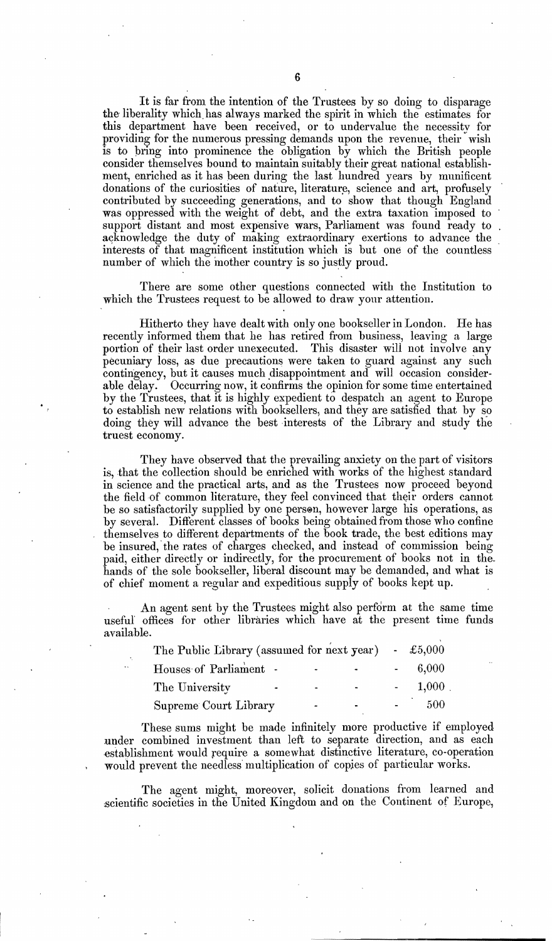It is far from the intention of the Trustees by so doing to disparage the liberality which has always marked the spirit in which the estimates for this department have been received, or to undervalue the necessity for providing for the numerous pressing demands upon the revenue, their wish is to pring into prominence the obligation by which the British people consider themselves bound to maintain suitably their great national establishment, enriched as it has been during the last hundred years by munificent donations of the curiosities of nature, literature, science and art, profusely contributed by succeeding generations, and to show that though England was oppressed with the weight of debt, and the extra taxation imposed to support distant and most expensive wars, Parliament was found ready to , aqknowledge the duty of making extraordinary exertions to advance the interests of that magnificent institution which is but one of the countless number of which the mother country is so justly proud.

There are some other questions connected with the Institution to which the Trustees request to be allowed to draw your attention.

Hitherto they have dealt with only one bookseller in London. He has recently informed them that he has retired from business, leaving a large portion of their last order unexecuted. This disaster will not involve any portion of their last order unexecuted. pecuniary loss, as due precautions were taken to guard against any such contingency, but it causes much disappointment and will occasion considerable delay. Occurring now, it confirms the opinion for some time entertained by the Trustees, that it is highly expedient to despatch an agent to Europe to establish new relations with booksellers, and they are satisfied that by so doing they will advance the best interests of the Library and study the truest economy.

They have observed that the prevailing anxiety on the part of visitors is, that the collection should be enriched with works of the highest standard in science and the practical arts, and as the Trustees now proceed beyond the field of common literature, they feel convinced that their orders cannot be so satisfactorily supplied by one person, however large his operations, as by several. Different classes of books being obtained from those who confine themselves to different departments of the book trade, the best editions may be insured, the rates of charges checked, and instead of commission being paid, either directly or indirectly, for the procurement of books not in the. hands of the sole bookseller, liberal discount may be demanded, and what is of chief moment a regular and expeditious supply of books kept up.

An agent sent by the Trustees might also perform at the same time useful offices for other libraries which have at the present time funds available.

| The Public Library (assumed for next year) $\cdot$ £5,000 |                          |                       |                      |          |
|-----------------------------------------------------------|--------------------------|-----------------------|----------------------|----------|
| Houses of Parliament -                                    |                          | $\tilde{\phantom{a}}$ | $\sim 100$ m $^{-1}$ | $-6,000$ |
| The University                                            | $\overline{\phantom{a}}$ |                       | $\blacksquare$       | 1,000    |
| <b>Supreme Court Library</b>                              |                          |                       | $\blacksquare$       | 500      |

These sums might be made infinitely more productive if employed under combined investment than left to separate direction, and as each establishment would require a somewhat distinctive literature, co-operation would prevent the needless' multiplication of copies of particular works.

The agent might, moreover, solicit donations from learned and scientific societies in the United Kingdom and on the Continent of Europe,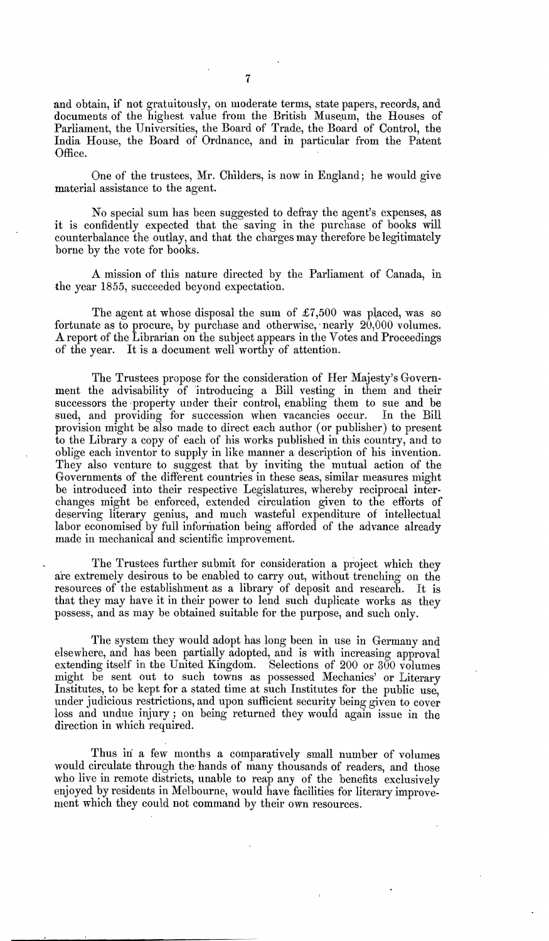and obtain, if not gratuitously, on moderate terms, state papers, records, and documents of the highest value from the British Museum, the Houses of Parliament, the Universities, the Board of Trade, the Board of Control, the India House, the Board of Ordnance, and in particular from the Patent ,Office.

One of the trustees, Mr. Childers, is now in England; he would give material assistance to the agent.

No special sum has been suggested to defray the agent's expenses, as it is confidently expected that the saving in the purchase of books will counterbalance the outlay, and that the charges may therefore be legitimately borne by the vote for books.

A mission of this nature directed by the Parliament of Canada, in the year 1855, succeeded beyond expectation.

The agent at whose disposal the sum of  $£7,500$  was placed, was so fortunate as to procure, by purchase and otherwise, nearly 20,000 volumes. A report of the Librarian on the subject appears in the Votes and Proceedings of the year. It is a document well worthy of attention.

The Trustees propose for the consideration of Her Majesty's Government the advisability of introducing a Bill vesting in them and their successors the property under their control, enabling them to sue and be sued, and providing for succession when vacancies occur. In the Bill sued, and providing for succession when vacancies occur. provision might be also made to direct each author (or publisher) to present to the Library a copy of each of his works published in this country, and to oblige each inventor to supply in like manner a description of his invention. They also venture to suggest that by inviting the mutual action of the Governments of the different countries in these seas, similar measures might be introduced into their respective Legislatures, whereby reciprocal interchanges might be enforced, extended circulation given to the efforts of deserving literary genius, and much wasteful expenditure of intellectual labor economised by full information being afforded of the advance already made in mechanical and scientific improvement.

The Trustees further submit for consideration a project which they are extremely desirous to be enabled to carry out, without trenching on the resources of the establishment as a library of deposit and research. It is that they may have it in their power to lend such duplicate works as they possess, and as may be obtained suitable for the purpose, and such only.

The system they would adopt has long been in use in Germany and elsewhere, and has been partially adopted, and is with increasing approval extending itself in the United Kingdom. Selections of 200 or 300 volumes might be sent out to such towns as possessed Mechanics' or Literary Institutes, to be kept for a stated time at such Institutes for the public use under judicious restrictions, and upon sufficient security being given to cover loss and undue injury; on being returned they would again issue in the direction in which required.

Thus in a few months a comparatively small number of volumes would circulate through the' hands of many thousands of readers, and those who live in remote districts, unable to reap any of the benefits exclusively enjoyed by residents in Melbourne, would have facilities for literary improvement which they could not command by their own resources.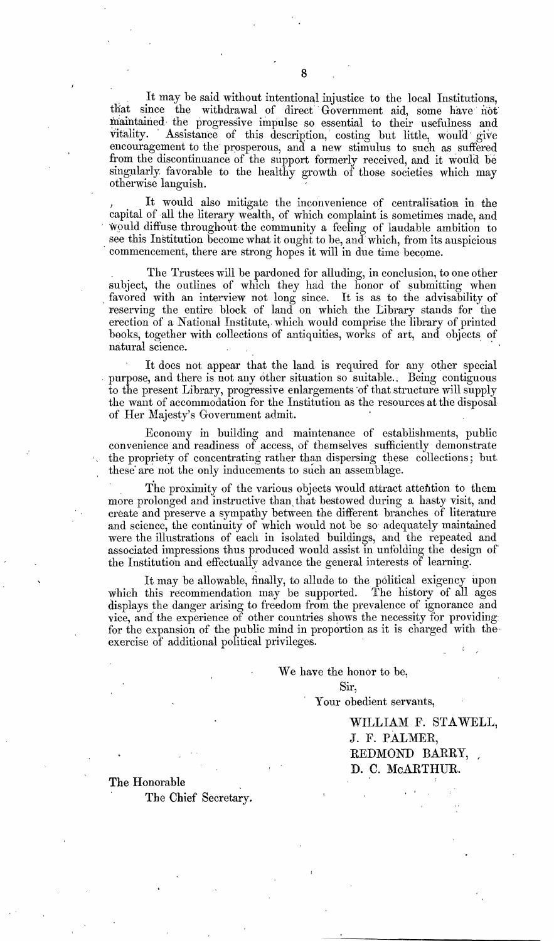It may be said without intentional injustice to the local Institutions, that since the withdrawal of direct Government aid, some have not maintained the progressive impulse so essential to their usefulness and vitality. Assistance of this description costing but little would give Assistance of this description, costing but little, would give encouragement to the prosperous, and a new stimulus to such as suffered from the discontinuance of the support formerly received, and it would be singularly. favorable to the healthy growth of those societies which may otherwise languish.

It would also mitigate the inconvenience of centralisation in the capital of all the literary wealth, of which complaint is sometimes made, and would diffuse throughout the community a feeling of laudable ambition to see this Institution become what it ought to be, and which, from its auspicious commencement, there are strong hopes it will in due time become.

The Trustees will be pardoned for alluding, in conclusion, to one other subject, the outlines of which they had the honor of submitting when favored with an interview not long since. It is as to the advisability of reserving the entire block of land on which the Library stands for the erection of a National Institute, which would comprise the library of printed books, together with collections of antiquities, works of art, and objects of natural science.

It does not appear that the land is required for any other special , purpose, and there is not any other situation so suitable.. Being contiguous to the present Library, progressive enlargements 'of that structure will supply the want of accommodation for the Institution as the resources at the disposal of Her Majesty's Government admit. .

Economy in building and maintenance of establishments, public convenience and readiness of access, of themselves sufficiently demonstrate the propriety of concentrating rather than dispersing these collections; but. these' are not the only inducements to such an assemblage.

The proximity of the various objects would attract attention to them more prolonged and instructive than, that bestowed during a hasty visit, and create and preserve a sympathy between the different branches of literature and science, the continuity of which would not be so adequately maintained were the illustrations of each in isolated buildings, and the repeated and associated impressions thus produced would assist in unfolding the design of the Institution and effectually advance the general interests of learning.

It may be allowable, finally, to allude to the political exigency upon this recommendation may be supported. The history of all ages which this recommendation may be supported. The history of all ages displays the danger arising to freedom from the prevalence of ignorance and vice, and the experience of other countries shows the necessity for providing: for the expansion of the public mind in proportion as it is charged with the exercise of additional political privileges.

We have the honor to be,

Sir,

Your obedient servants,

WILLIAM F. STAWELL, J. F. PALMER, REDMOND BARRY, D. C. McARTHUR.

The Honorable

The Chief Secretary.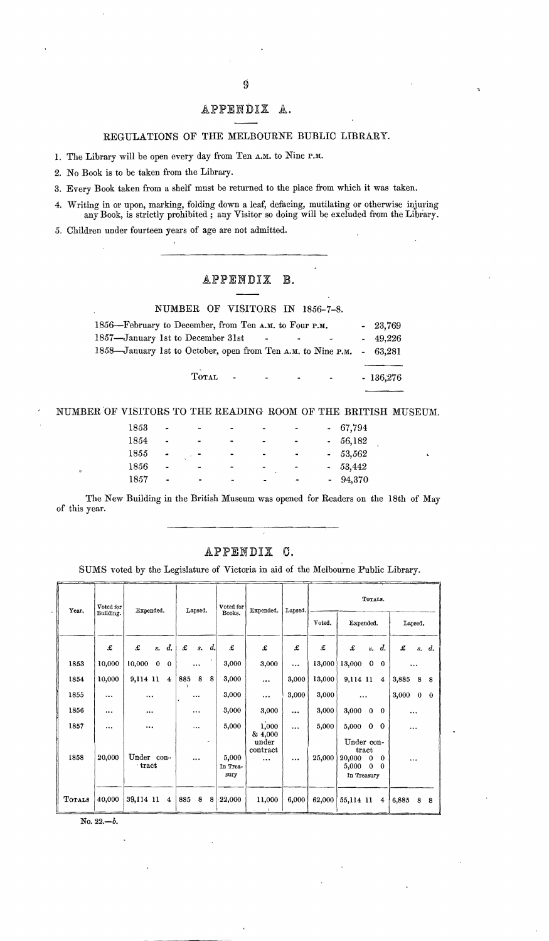# AJPlPENIDJLI. A.

#### REGULATIONS OF THE MELBOURNE BUBLIC LIBRARY.

1. The Library will be open every day from Ten A.M. to Nine P.M.

2. No Book is to be taken from the Library.

3. Every Book taken from a shelf must be returned to the place from which it was taken.

4. Writing in or upon, marking, folding down a leaf, defacing, mutilating or otherwise injuring any Book, is strictly prohibited; any Visitor so doing will be excluded from the Library.

5. Children under fourteen years of age are not admitted.  $\mathbf{r}$ 

# APPENDIX I.

#### NUMBER OF VISITORS IN 1856-7-8.

| 1856—February to December, from Ten A.M. to Four P.M.                 | $-23.769$  |
|-----------------------------------------------------------------------|------------|
| 1857—January 1st to December 31st<br>$\sim$ $-$<br>$\blacksquare$     | $-49.226$  |
| 1858—January 1st to October, open from Ten A.M. to Nine P.M. - 63,281 |            |
| TOTAL<br>$\blacksquare$<br>$\mathbf{m} = 0$<br>$\sim$                 | $-136,276$ |

NUMBER 'OF VISITORS TO THE READING ROOM OF THE BRITISH MUSEUM.

| 1853 | $\blacksquare$ | $\blacksquare$ | $\blacksquare$ | ۰                        |                |                | $-67,794$ |
|------|----------------|----------------|----------------|--------------------------|----------------|----------------|-----------|
| 1854 | $\blacksquare$ | ٠              | ۰              | $\blacksquare$           | $\blacksquare$ |                | 56,182    |
| 1855 | $\bullet$      | $\sim$         | $\blacksquare$ | $\blacksquare$           |                | $\blacksquare$ | 53,562    |
| 1856 | $\blacksquare$ | $\blacksquare$ | ۰              | $\overline{\phantom{0}}$ | -              | $\overline{a}$ | 53,442    |
| 1857 | $\blacksquare$ | -              | -              | -                        |                |                | 94,370    |

The New Building in the British Museum was opened for Readers on the 18th of May of this year.

### APPENDIX C.

SUMS voted by the Legislature of Victoria in aid of the Melbourne Public Library.

| Voted for<br>Year. |           | Expended.                           | Voted for<br>Lapsed. |                   | Expended.<br>Lapsed. |           | TOTALS. |                                                                        |                               |  |  |
|--------------------|-----------|-------------------------------------|----------------------|-------------------|----------------------|-----------|---------|------------------------------------------------------------------------|-------------------------------|--|--|
|                    | Building. |                                     | Books.               |                   |                      |           | Voted.  | Expended.                                                              | Lapsed.                       |  |  |
|                    | £         | £<br>$d_{\bullet}$<br>$S_{\bullet}$ | £<br>d.<br>s.        | £                 | £                    | £         | £       | £<br>$\boldsymbol{d}$ .<br>$s$ .                                       | £<br>s. d.                    |  |  |
| 1853               | 10,000    | 10,000<br>$\bf{0}$<br>$\mathbf 0$   |                      | 3,000             | 3,000                | $\ddotsc$ | 13,000  | 13,000<br>$\bf{0}$<br>$\bf{0}$                                         | $\cdots$                      |  |  |
| 1854               | 10,000    | 9,114 11<br>$\overline{4}$          | 8<br>8<br>885        | 3,000             |                      | 3,000     | 13,000  | 9,114 11<br>4                                                          | 3,885<br>8<br>8               |  |  |
| 1855               |           |                                     |                      | 3,000             | $\cdots$             | 3,000     | 3,000   |                                                                        | 3,000<br>$\bf{0}$<br>$\bf{0}$ |  |  |
| 1856               | $\cdots$  |                                     |                      | 3,000             | 3,000                | $\cdots$  | 3,000   | 3,000<br>$\bf{0}$<br>$\bf{0}$                                          |                               |  |  |
| 1857               | $\cdots$  |                                     | $\cdots$             | 5,000             | 1,000<br>& 4,000     |           | 5,000   | 5,000<br>$\mathbf 0$<br>$\mathbf 0$                                    | $\cdots$                      |  |  |
|                    |           |                                     | $\tilde{~}$          |                   | under<br>contract    |           |         | Under con-<br>tract                                                    |                               |  |  |
| 1858               | 20,000    | Under con-<br>tract                 |                      | 5,000<br>In Trea- | $\cdots$             | $\cdots$  | 25,000  | 20,000<br>$\bf{0}$<br>$\bf{0}$<br>5,000<br>$\mathbf{0}$<br>$\mathbf 0$ | $\cdots$                      |  |  |
|                    |           |                                     |                      | sury              |                      |           |         | In Treasury                                                            |                               |  |  |
| TOTALS             | 40,000    | 39,114 11 4                         | 885<br>8<br>8        | 22,000            | 11,000               | 6,000     | 62,000  | 55,114 11<br>$\overline{4}$                                            | 6,885<br>8<br>8               |  |  |

No. *22.-0.*